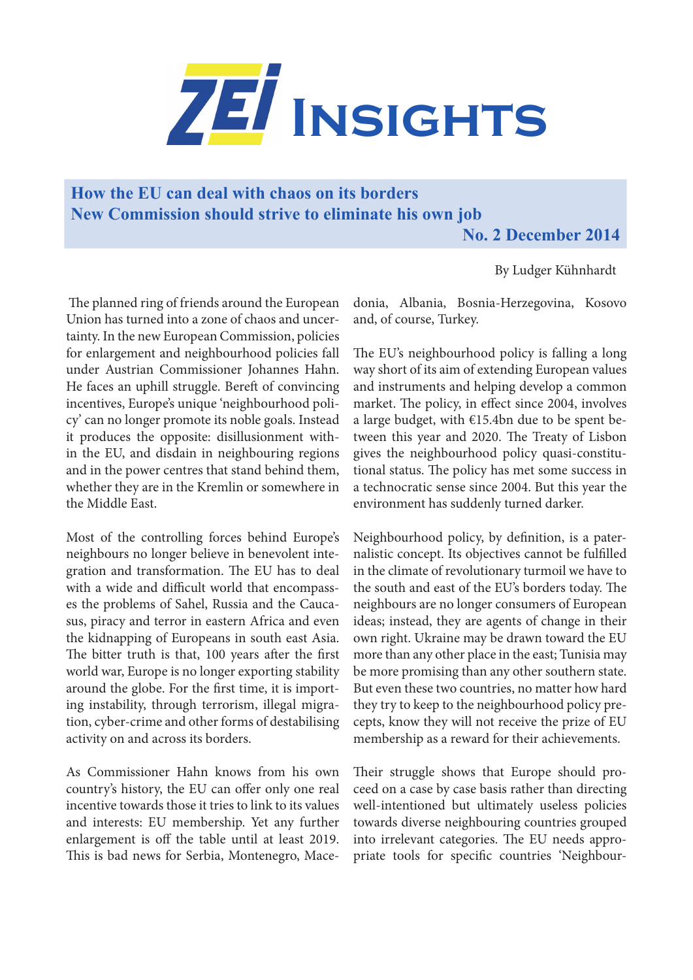

## **How the EU can deal with chaos on its borders New Commission should strive to eliminate his own job**

**No. 2 December 2014**

By Ludger Kühnhardt

 The planned ring of friends around the European Union has turned into a zone of chaos and uncertainty. In the new European Commission, policies for enlargement and neighbourhood policies fall under Austrian Commissioner Johannes Hahn. He faces an uphill struggle. Bereft of convincing incentives, Europe's unique 'neighbourhood policy' can no longer promote its noble goals. Instead it produces the opposite: disillusionment within the EU, and disdain in neighbouring regions and in the power centres that stand behind them, whether they are in the Kremlin or somewhere in the Middle East.

Most of the controlling forces behind Europe's neighbours no longer believe in benevolent integration and transformation. The EU has to deal with a wide and difficult world that encompasses the problems of Sahel, Russia and the Caucasus, piracy and terror in eastern Africa and even the kidnapping of Europeans in south east Asia. The bitter truth is that, 100 years after the first world war, Europe is no longer exporting stability around the globe. For the first time, it is importing instability, through terrorism, illegal migration, cyber-crime and other forms of destabilising activity on and across its borders.

As Commissioner Hahn knows from his own country's history, the EU can offer only one real incentive towards those it tries to link to its values and interests: EU membership. Yet any further enlargement is off the table until at least 2019. This is bad news for Serbia, Montenegro, Macedonia, Albania, Bosnia-Herzegovina, Kosovo and, of course, Turkey.

The EU's neighbourhood policy is falling a long way short of its aim of extending European values and instruments and helping develop a common market. The policy, in effect since 2004, involves a large budget, with €15.4bn due to be spent between this year and 2020. The Treaty of Lisbon gives the neighbourhood policy quasi-constitutional status. The policy has met some success in a technocratic sense since 2004. But this year the environment has suddenly turned darker.

Neighbourhood policy, by definition, is a paternalistic concept. Its objectives cannot be fulfilled in the climate of revolutionary turmoil we have to the south and east of the EU's borders today. The neighbours are no longer consumers of European ideas; instead, they are agents of change in their own right. Ukraine may be drawn toward the EU more than any other place in the east; Tunisia may be more promising than any other southern state. But even these two countries, no matter how hard they try to keep to the neighbourhood policy precepts, know they will not receive the prize of EU membership as a reward for their achievements.

Their struggle shows that Europe should proceed on a case by case basis rather than directing well-intentioned but ultimately useless policies towards diverse neighbouring countries grouped into irrelevant categories. The EU needs appropriate tools for specific countries 'Neighbour